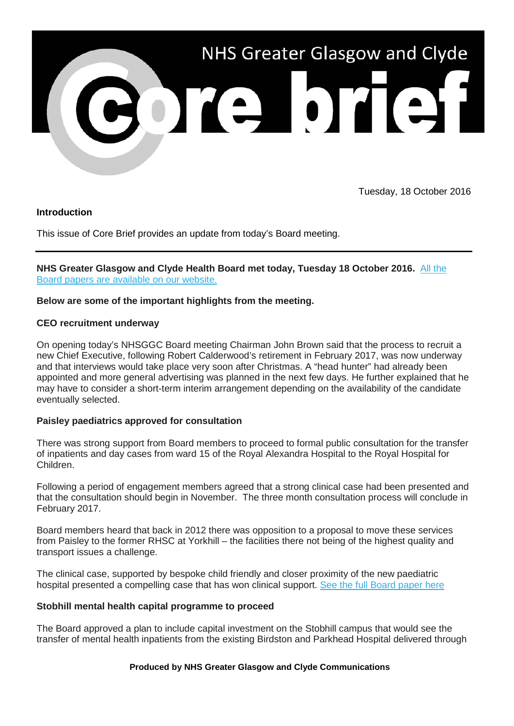

Tuesday, 18 October 2016

# **Introduction**

This issue of Core Brief provides an update from today's Board meeting.

**NHS Greater Glasgow and Clyde Health Board met today, Tuesday 18 October 2016.** [All the](http://nhsggc.us12.list-manage1.com/track/click?u=0f385b5aea37eaf0213bd19fb&id=dd152184cd&e=5af5e1832c)  [Board papers are available on our website.](http://nhsggc.us12.list-manage1.com/track/click?u=0f385b5aea37eaf0213bd19fb&id=dd152184cd&e=5af5e1832c)

# **Below are some of the important highlights from the meeting.**

# **CEO recruitment underway**

On opening today's NHSGGC Board meeting Chairman John Brown said that the process to recruit a new Chief Executive, following Robert Calderwood's retirement in February 2017, was now underway and that interviews would take place very soon after Christmas. A "head hunter" had already been appointed and more general advertising was planned in the next few days. He further explained that he may have to consider a short-term interim arrangement depending on the availability of the candidate eventually selected.

# **Paisley paediatrics approved for consultation**

There was strong support from Board members to proceed to formal public consultation for the transfer of inpatients and day cases from ward 15 of the Royal Alexandra Hospital to the Royal Hospital for Children.

Following a period of engagement members agreed that a strong clinical case had been presented and that the consultation should begin in November. The three month consultation process will conclude in February 2017.

Board members heard that back in 2012 there was opposition to a proposal to move these services from Paisley to the former RHSC at Yorkhill – the facilities there not being of the highest quality and transport issues a challenge.

The clinical case, supported by bespoke child friendly and closer proximity of the new paediatric hospital presented a compelling case that has won clinical support. [See the full Board paper here](http://nhsggc.us12.list-manage1.com/track/click?u=0f385b5aea37eaf0213bd19fb&id=ab3fc8010f&e=5af5e1832c)

# **Stobhill mental health capital programme to proceed**

The Board approved a plan to include capital investment on the Stobhill campus that would see the transfer of mental health inpatients from the existing Birdston and Parkhead Hospital delivered through

## **Produced by NHS Greater Glasgow and Clyde Communications**